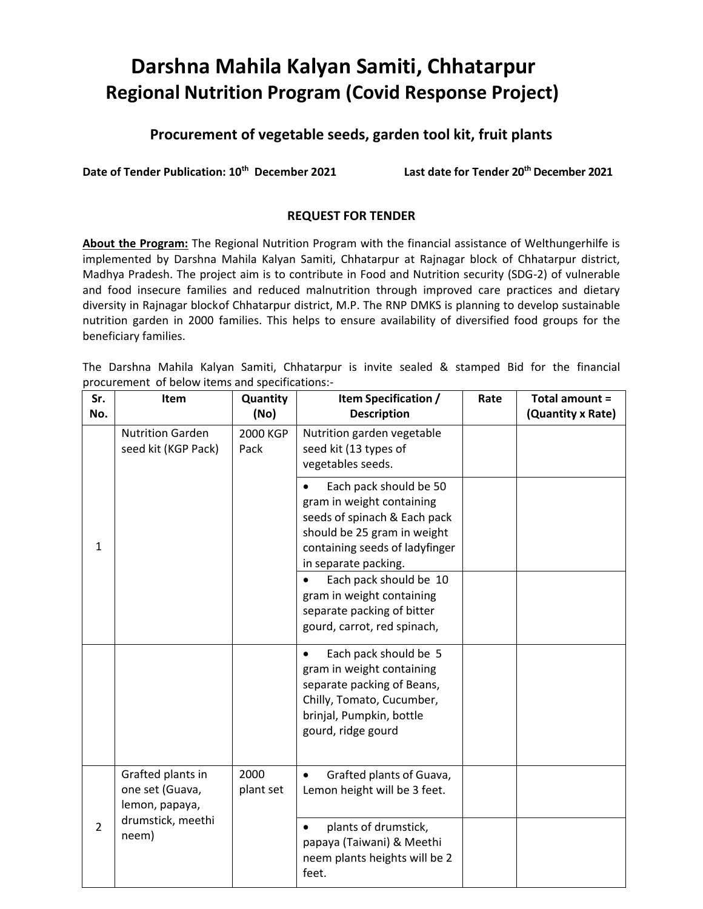# **Darshna Mahila Kalyan Samiti, Chhatarpur Regional Nutrition Program (Covid Response Project)**

# **Procurement of vegetable seeds, garden tool kit, fruit plants**

**Date of Tender Publication: 10th December 2021 Last date for Tender 20th December 2021**

# **REQUEST FOR TENDER**

**About the Program:** The Regional Nutrition Program with the financial assistance of Welthungerhilfe is implemented by Darshna Mahila Kalyan Samiti, Chhatarpur at Rajnagar block of Chhatarpur district, Madhya Pradesh. The project aim is to contribute in Food and Nutrition security (SDG-2) of vulnerable and food insecure families and reduced malnutrition through improved care practices and dietary diversity in Rajnagar blockof Chhatarpur district, M.P. The RNP DMKS is planning to develop sustainable nutrition garden in 2000 families. This helps to ensure availability of diversified food groups for the beneficiary families.

The Darshna Mahila Kalyan Samiti, Chhatarpur is invite sealed & stamped Bid for the financial procurement of below items and specifications:-

| Sr.            | Item                                                                                 | Quantity          | Item Specification /                                                                                                                                                                      | Rate | Total amount =    |
|----------------|--------------------------------------------------------------------------------------|-------------------|-------------------------------------------------------------------------------------------------------------------------------------------------------------------------------------------|------|-------------------|
| No.            |                                                                                      | (No)              | <b>Description</b>                                                                                                                                                                        |      | (Quantity x Rate) |
| 1              | <b>Nutrition Garden</b><br>seed kit (KGP Pack)                                       | 2000 KGP<br>Pack  | Nutrition garden vegetable<br>seed kit (13 types of<br>vegetables seeds.                                                                                                                  |      |                   |
|                |                                                                                      |                   | Each pack should be 50<br>$\bullet$<br>gram in weight containing<br>seeds of spinach & Each pack<br>should be 25 gram in weight<br>containing seeds of ladyfinger<br>in separate packing. |      |                   |
|                |                                                                                      |                   | Each pack should be 10<br>gram in weight containing<br>separate packing of bitter<br>gourd, carrot, red spinach,                                                                          |      |                   |
|                |                                                                                      |                   | Each pack should be 5<br>gram in weight containing<br>separate packing of Beans,<br>Chilly, Tomato, Cucumber,<br>brinjal, Pumpkin, bottle<br>gourd, ridge gourd                           |      |                   |
| $\overline{2}$ | Grafted plants in<br>one set (Guava,<br>lemon, papaya,<br>drumstick, meethi<br>neem) | 2000<br>plant set | Grafted plants of Guava,<br>Lemon height will be 3 feet.                                                                                                                                  |      |                   |
|                |                                                                                      |                   | plants of drumstick,<br>papaya (Taiwani) & Meethi<br>neem plants heights will be 2<br>feet.                                                                                               |      |                   |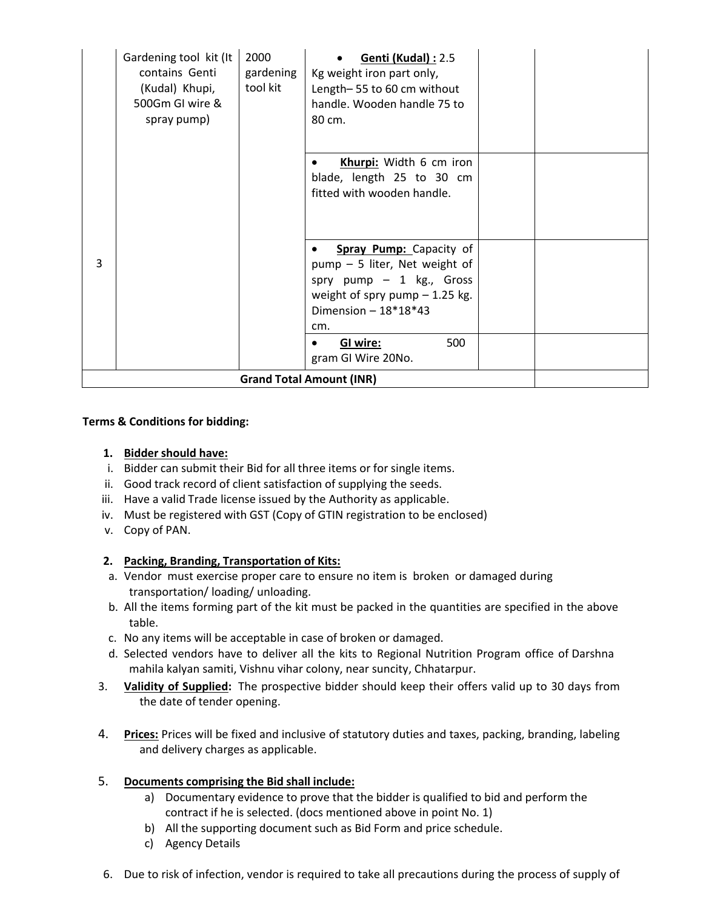|   | Gardening tool kit (It<br>contains Genti<br>(Kudal) Khupi,<br>500Gm GI wire &<br>spray pump) | 2000<br>gardening<br>tool kit | <b>Genti (Kudal): 2.5</b><br>Kg weight iron part only,<br>Length-55 to 60 cm without<br>handle. Wooden handle 75 to<br>80 cm.                                   |  |
|---|----------------------------------------------------------------------------------------------|-------------------------------|-----------------------------------------------------------------------------------------------------------------------------------------------------------------|--|
|   |                                                                                              |                               | Khurpi: Width 6 cm iron<br>blade, length 25 to 30 cm<br>fitted with wooden handle.                                                                              |  |
| 3 |                                                                                              |                               | <b>Spray Pump:</b> Capacity of<br>pump - 5 liter, Net weight of<br>spry pump $-1$ kg., Gross<br>weight of spry pump $-1.25$ kg.<br>Dimension $-18*18*43$<br>cm. |  |
|   |                                                                                              |                               | 500<br>GI wire:<br>gram GI Wire 20No.<br><b>Grand Total Amount (INR)</b>                                                                                        |  |

#### **Terms & Conditions for bidding:**

#### **1. Bidder should have:**

- i. Bidder can submit their Bid for all three items or for single items.
- ii. Good track record of client satisfaction of supplying the seeds.
- iii. Have a valid Trade license issued by the Authority as applicable.
- iv. Must be registered with GST (Copy of GTIN registration to be enclosed)
- v. Copy of PAN.

## **2. Packing, Branding, Transportation of Kits:**

- a. Vendor must exercise proper care to ensure no item is broken or damaged during transportation/ loading/ unloading.
- b. All the items forming part of the kit must be packed in the quantities are specified in the above table.
- c. No any items will be acceptable in case of broken or damaged.
- d. Selected vendors have to deliver all the kits to Regional Nutrition Program office of Darshna mahila kalyan samiti, Vishnu vihar colony, near suncity, Chhatarpur.
- 3. **Validity of Supplied:** The prospective bidder should keep their offers valid up to 30 days from the date of tender opening.
- 4. **Prices:** Prices will be fixed and inclusive of statutory duties and taxes, packing, branding, labeling and delivery charges as applicable.

#### 5. **Documents comprising the Bid shall include:**

- a) Documentary evidence to prove that the bidder is qualified to bid and perform the contract if he is selected. (docs mentioned above in point No. 1)
- b) All the supporting document such as Bid Form and price schedule.
- c) Agency Details
- 6. Due to risk of infection, vendor is required to take all precautions during the process of supply of